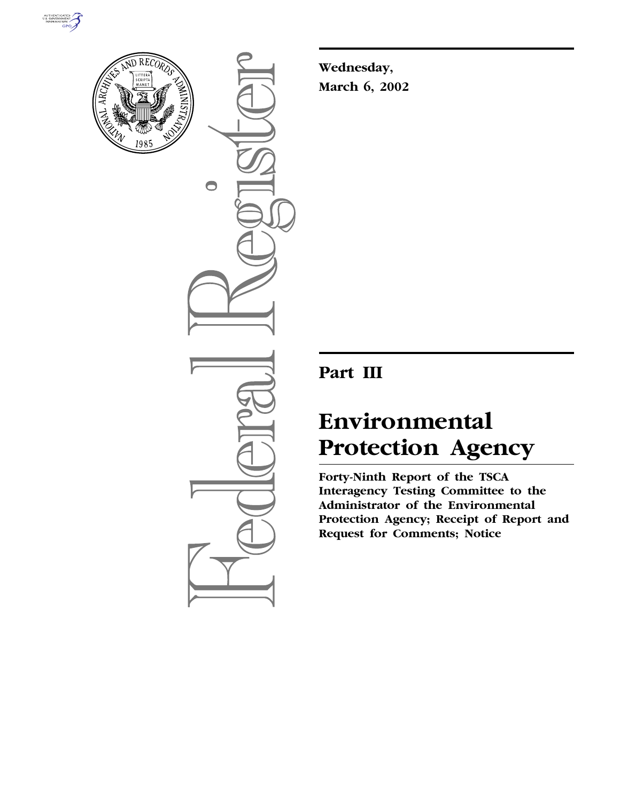



 $\bigcirc$ 

**Wednesday, March 6, 2002**

# **Part III**

# **Environmental Protection Agency**

**Forty-Ninth Report of the TSCA Interagency Testing Committee to the Administrator of the Environmental Protection Agency; Receipt of Report and Request for Comments; Notice**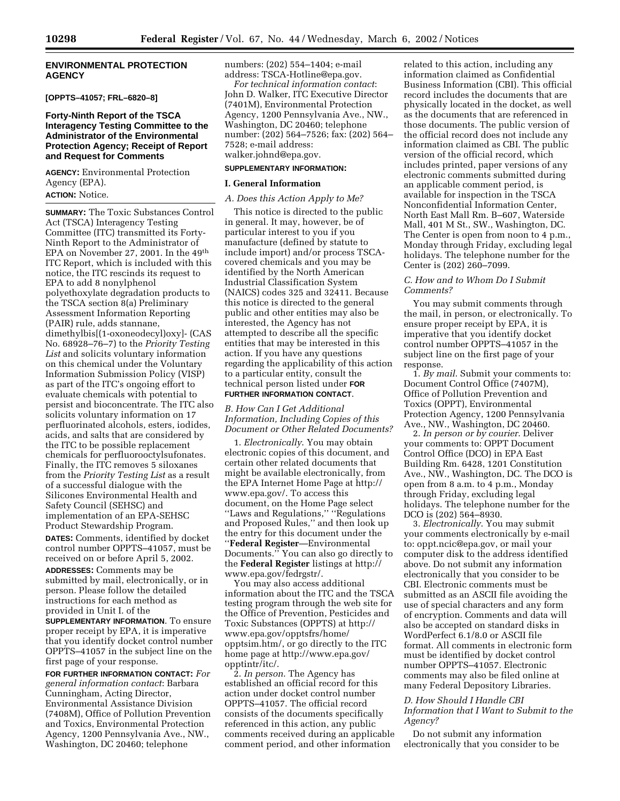# **ENVIRONMENTAL PROTECTION AGENCY**

# **[OPPTS–41057; FRL–6820–8]**

# **Forty-Ninth Report of the TSCA Interagency Testing Committee to the Administrator of the Environmental Protection Agency; Receipt of Report and Request for Comments**

**AGENCY:** Environmental Protection Agency (EPA).

# **ACTION:** Notice.

**SUMMARY:** The Toxic Substances Control Act (TSCA) Interagency Testing Committee (ITC) transmitted its Forty-Ninth Report to the Administrator of EPA on November 27, 2001. In the 49th ITC Report, which is included with this notice, the ITC rescinds its request to EPA to add 8 nonylphenol polyethoxylate degradation products to the TSCA section 8(a) Preliminary Assessment Information Reporting (PAIR) rule, adds stannane, dimethylbis[(1-oxoneodecyl)oxy]- (CAS No. 68928–76–7) to the *Priority Testing List* and solicits voluntary information on this chemical under the Voluntary Information Submission Policy (VISP) as part of the ITC's ongoing effort to evaluate chemicals with potential to persist and bioconcentrate. The ITC also solicits voluntary information on 17 perfluorinated alcohols, esters, iodides, acids, and salts that are considered by the ITC to be possible replacement chemicals for perfluorooctylsufonates. Finally, the ITC removes 5 siloxanes from the *Priority Testing List* as a result of a successful dialogue with the Silicones Environmental Health and Safety Council (SEHSC) and implementation of an EPA-SEHSC Product Stewardship Program.

**DATES:** Comments, identified by docket control number OPPTS–41057, must be received on or before April 5, 2002.

**ADDRESSES:** Comments may be submitted by mail, electronically, or in person. Please follow the detailed instructions for each method as provided in Unit I. of the

**SUPPLEMENTARY INFORMATION**. To ensure proper receipt by EPA, it is imperative that you identify docket control number OPPTS–41057 in the subject line on the first page of your response.

**FOR FURTHER INFORMATION CONTACT:** *For general information contact*: Barbara Cunningham, Acting Director, Environmental Assistance Division (7408M), Office of Pollution Prevention and Toxics, Environmental Protection Agency, 1200 Pennsylvania Ave., NW., Washington, DC 20460; telephone

numbers: (202) 554–1404; e-mail address: TSCA-Hotline@epa.gov.

*For technical information contact*: John D. Walker, ITC Executive Director (7401M), Environmental Protection Agency, 1200 Pennsylvania Ave., NW., Washington, DC 20460; telephone number: (202) 564–7526; fax: (202) 564– 7528; e-mail address: walker.johnd@epa.gov.

# **SUPPLEMENTARY INFORMATION:**

#### **I. General Information**

#### *A. Does this Action Apply to Me?*

This notice is directed to the public in general. It may, however, be of particular interest to you if you manufacture (defined by statute to include import) and/or process TSCAcovered chemicals and you may be identified by the North American Industrial Classification System (NAICS) codes 325 and 32411. Because this notice is directed to the general public and other entities may also be interested, the Agency has not attempted to describe all the specific entities that may be interested in this action. If you have any questions regarding the applicability of this action to a particular entity, consult the technical person listed under **FOR FURTHER INFORMATION CONTACT**.

*B. How Can I Get Additional Information, Including Copies of this Document or Other Related Documents?*

1. *Electronically*. You may obtain electronic copies of this document, and certain other related documents that might be available electronically, from the EPA Internet Home Page at http:// www.epa.gov/. To access this document, on the Home Page select ''Laws and Regulations,'' ''Regulations and Proposed Rules,'' and then look up the entry for this document under the ''**Federal Register**—Environmental Documents.'' You can also go directly to the **Federal Register** listings at http:// www.epa.gov/fedrgstr/.

You may also access additional information about the ITC and the TSCA testing program through the web site for the Office of Prevention, Pesticides and Toxic Substances (OPPTS) at http:// www.epa.gov/opptsfrs/home/ opptsim.htm/, or go directly to the ITC home page at http://www.epa.gov/ opptintr/itc/.

2. *In person*. The Agency has established an official record for this action under docket control number OPPTS–41057. The official record consists of the documents specifically referenced in this action, any public comments received during an applicable comment period, and other information

related to this action, including any information claimed as Confidential Business Information (CBI). This official record includes the documents that are physically located in the docket, as well as the documents that are referenced in those documents. The public version of the official record does not include any information claimed as CBI. The public version of the official record, which includes printed, paper versions of any electronic comments submitted during an applicable comment period, is available for inspection in the TSCA Nonconfidential Information Center, North East Mall Rm. B–607, Waterside Mall, 401 M St., SW., Washington, DC. The Center is open from noon to 4 p.m., Monday through Friday, excluding legal holidays. The telephone number for the Center is (202) 260–7099.

#### *C. How and to Whom Do I Submit Comments?*

You may submit comments through the mail, in person, or electronically. To ensure proper receipt by EPA, it is imperative that you identify docket control number OPPTS–41057 in the subject line on the first page of your response.

1. *By mail*. Submit your comments to: Document Control Office (7407M), Office of Pollution Prevention and Toxics (OPPT), Environmental Protection Agency, 1200 Pennsylvania Ave., NW., Washington, DC 20460.

2. *In person or by courier*. Deliver your comments to: OPPT Document Control Office (DCO) in EPA East Building Rm. 6428, 1201 Constitution Ave., NW., Washington, DC. The DCO is open from 8 a.m. to 4 p.m., Monday through Friday, excluding legal holidays. The telephone number for the DCO is (202) 564–8930.

3. *Electronically*. You may submit your comments electronically by e-mail to: oppt.ncic@epa.gov, or mail your computer disk to the address identified above. Do not submit any information electronically that you consider to be CBI. Electronic comments must be submitted as an ASCII file avoiding the use of special characters and any form of encryption. Comments and data will also be accepted on standard disks in WordPerfect 6.1/8.0 or ASCII file format. All comments in electronic form must be identified by docket control number OPPTS–41057. Electronic comments may also be filed online at many Federal Depository Libraries.

# *D. How Should I Handle CBI Information that I Want to Submit to the Agency?*

Do not submit any information electronically that you consider to be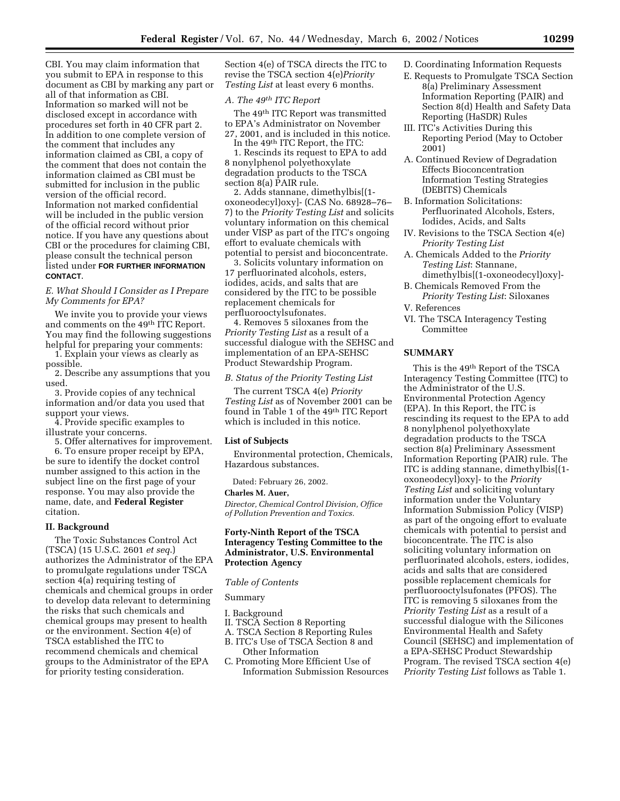CBI. You may claim information that you submit to EPA in response to this document as CBI by marking any part or all of that information as CBI. Information so marked will not be disclosed except in accordance with procedures set forth in 40 CFR part 2. In addition to one complete version of the comment that includes any information claimed as CBI, a copy of the comment that does not contain the information claimed as CBI must be submitted for inclusion in the public version of the official record. Information not marked confidential will be included in the public version of the official record without prior notice. If you have any questions about CBI or the procedures for claiming CBI, please consult the technical person listed under **FOR FURTHER INFORMATION CONTACT**.

# *E. What Should I Consider as I Prepare My Comments for EPA?*

We invite you to provide your views and comments on the 49th ITC Report. You may find the following suggestions helpful for preparing your comments:

- 1. Explain your views as clearly as possible.
- 2. Describe any assumptions that you used.
- 3. Provide copies of any technical information and/or data you used that support your views.

4. Provide specific examples to illustrate your concerns.

5. Offer alternatives for improvement.

6. To ensure proper receipt by EPA, be sure to identify the docket control number assigned to this action in the subject line on the first page of your response. You may also provide the name, date, and **Federal Register** citation.

# **II. Background**

The Toxic Substances Control Act (TSCA) (15 U.S.C. 2601 *et seq*.) authorizes the Administrator of the EPA to promulgate regulations under TSCA section 4(a) requiring testing of chemicals and chemical groups in order to develop data relevant to determining the risks that such chemicals and chemical groups may present to health or the environment. Section 4(e) of TSCA established the ITC to recommend chemicals and chemical groups to the Administrator of the EPA for priority testing consideration.

Section 4(e) of TSCA directs the ITC to revise the TSCA section 4(e)*Priority Testing List* at least every 6 months.

# *A. The 49th ITC Report*

The 49th ITC Report was transmitted to EPA's Administrator on November 27, 2001, and is included in this notice.

In the 49th ITC Report, the ITC: 1. Rescinds its request to EPA to add 8 nonylphenol polyethoxylate degradation products to the TSCA section 8(a) PAIR rule.

2. Adds stannane, dimethylbis[(1 oxoneodecyl)oxy]- (CAS No. 68928–76– 7) to the *Priority Testing List* and solicits voluntary information on this chemical under VISP as part of the ITC's ongoing effort to evaluate chemicals with potential to persist and bioconcentrate.

3. Solicits voluntary information on 17 perfluorinated alcohols, esters, iodides, acids, and salts that are considered by the ITC to be possible replacement chemicals for perfluorooctylsufonates.

4. Removes 5 siloxanes from the *Priority Testing List* as a result of a successful dialogue with the SEHSC and implementation of an EPA-SEHSC Product Stewardship Program.

### *B. Status of the Priority Testing List*

The current TSCA 4(e) *Priority Testing List* as of November 2001 can be found in Table 1 of the 49th ITC Report which is included in this notice.

#### **List of Subjects**

Environmental protection, Chemicals, Hazardous substances.

Dated: February 26, 2002.

#### **Charles M. Auer,**

*Director, Chemical Control Division, Office of Pollution Prevention and Toxics.*

# **Forty-Ninth Report of the TSCA Interagency Testing Committee to the Administrator, U.S. Environmental Protection Agency**

#### *Table of Contents*

#### Summary

I. Background

- II. TSCA Section 8 Reporting
- A. TSCA Section 8 Reporting Rules B. ITC's Use of TSCA Section 8 and
- Other Information
- C. Promoting More Efficient Use of Information Submission Resources
- D. Coordinating Information Requests
- E. Requests to Promulgate TSCA Section 8(a) Preliminary Assessment Information Reporting (PAIR) and Section 8(d) Health and Safety Data Reporting (HaSDR) Rules
- III. ITC's Activities During this Reporting Period (May to October 2001)
- A. Continued Review of Degradation Effects Bioconcentration Information Testing Strategies (DEBITS) Chemicals
- B. Information Solicitations: Perfluorinated Alcohols, Esters, Iodides, Acids, and Salts
- IV. Revisions to the TSCA Section 4(e) *Priority Testing List*
- A. Chemicals Added to the *Priority Testing List*: Stannane, dimethylbis[(1-oxoneodecyl)oxy]-
- B. Chemicals Removed From the *Priority Testing List*: Siloxanes
- V. References
- VI. The TSCA Interagency Testing Committee

# **SUMMARY**

This is the 49th Report of the TSCA Interagency Testing Committee (ITC) to the Administrator of the U.S. Environmental Protection Agency (EPA). In this Report, the ITC is rescinding its request to the EPA to add 8 nonylphenol polyethoxylate degradation products to the TSCA section 8(a) Preliminary Assessment Information Reporting (PAIR) rule. The ITC is adding stannane, dimethylbis[(1 oxoneodecyl)oxy]- to the *Priority Testing List* and soliciting voluntary information under the Voluntary Information Submission Policy (VISP) as part of the ongoing effort to evaluate chemicals with potential to persist and bioconcentrate. The ITC is also soliciting voluntary information on perfluorinated alcohols, esters, iodides, acids and salts that are considered possible replacement chemicals for perfluorooctylsufonates (PFOS). The ITC is removing 5 siloxanes from the *Priority Testing List* as a result of a successful dialogue with the Silicones Environmental Health and Safety Council (SEHSC) and implementation of a EPA-SEHSC Product Stewardship Program. The revised TSCA section 4(e) *Priority Testing List* follows as Table 1.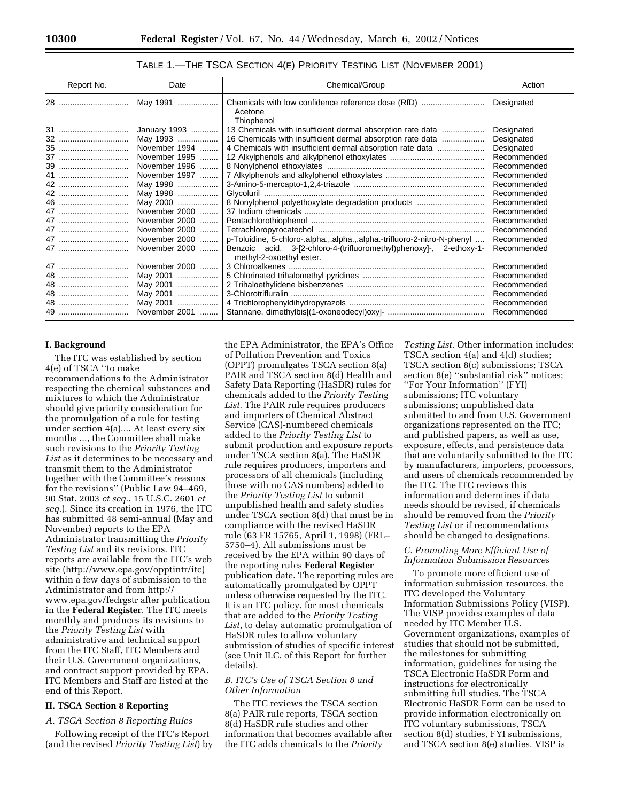# TABLE 1.—THE TSCA SECTION 4(E) PRIORITY TESTING LIST (NOVEMBER 2001)

| Report No. | Date          | Chemical/Group                                                                                  | Action      |
|------------|---------------|-------------------------------------------------------------------------------------------------|-------------|
| 28         | May 1991      | Chemicals with low confidence reference dose (RfD)<br>Acetone<br>Thiophenol                     | Designated  |
| 31         | January 1993  | 13 Chemicals with insufficient dermal absorption rate data                                      | Designated  |
| 32         | May 1993      | 16 Chemicals with insufficient dermal absorption rate data                                      | Designated  |
| 35         | November 1994 | 4 Chemicals with insufficient dermal absorption rate data                                       | Designated  |
| 37         | November 1995 |                                                                                                 | Recommended |
| 39         | November 1996 |                                                                                                 | Recommended |
| 41         | November 1997 |                                                                                                 | Recommended |
| 42         | May 1998      |                                                                                                 | Recommended |
| 42         | May 1998      |                                                                                                 | Recommended |
| 46         | May 2000      | 8 Nonylphenol polyethoxylate degradation products                                               | Recommended |
| 47         | November 2000 |                                                                                                 | Recommended |
| 47         | November 2000 |                                                                                                 | Recommended |
| 47         | November 2000 |                                                                                                 | Recommended |
| 47         | November 2000 | p-Toluidine, 5-chloro-.alphaalphaalpha.-trifluoro-2-nitro-N-phenyl                              | Recommended |
| 47         | November 2000 | Benzoic acid, 3-[2-chloro-4-(trifluoromethyl)phenoxy]-, 2-ethoxy-1-<br>methyl-2-oxoethyl ester. | Recommended |
| 47         | November 2000 |                                                                                                 | Recommended |
| 48         | May 2001      |                                                                                                 | Recommended |
| 48         | May 2001      |                                                                                                 | Recommended |
| 48         | May 2001      |                                                                                                 | Recommended |
| 48         | May 2001      |                                                                                                 | Recommended |
| 49         | November 2001 |                                                                                                 | Recommended |

#### **I. Background**

The ITC was established by section 4(e) of TSCA ''to make recommendations to the Administrator respecting the chemical substances and mixtures to which the Administrator should give priority consideration for the promulgation of a rule for testing under section 4(a).... At least every six months ..., the Committee shall make such revisions to the *Priority Testing List* as it determines to be necessary and transmit them to the Administrator together with the Committee's reasons for the revisions'' (Public Law 94–469, 90 Stat. 2003 *et seq*., 15 U.S.C. 2601 *et seq*.). Since its creation in 1976, the ITC has submitted 48 semi-annual (May and November) reports to the EPA Administrator transmitting the *Priority Testing List* and its revisions. ITC reports are available from the ITC's web site (http://www.epa.gov/opptintr/itc) within a few days of submission to the Administrator and from http:// www.epa.gov/fedrgstr after publication in the **Federal Register**. The ITC meets monthly and produces its revisions to the *Priority Testing List* with administrative and technical support from the ITC Staff, ITC Members and their U.S. Government organizations, and contract support provided by EPA. ITC Members and Staff are listed at the end of this Report.

#### **II. TSCA Section 8 Reporting**

# *A. TSCA Section 8 Reporting Rules*

Following receipt of the ITC's Report (and the revised *Priority Testing List*) by

the EPA Administrator, the EPA's Office of Pollution Prevention and Toxics (OPPT) promulgates TSCA section 8(a) PAIR and TSCA section 8(d) Health and Safety Data Reporting (HaSDR) rules for chemicals added to the *Priority Testing List*. The PAIR rule requires producers and importers of Chemical Abstract Service (CAS)-numbered chemicals added to the *Priority Testing List* to submit production and exposure reports under TSCA section 8(a). The HaSDR rule requires producers, importers and processors of all chemicals (including those with no CAS numbers) added to the *Priority Testing List* to submit unpublished health and safety studies under TSCA section 8(d) that must be in compliance with the revised HaSDR rule (63 FR 15765, April 1, 1998) (FRL– 5750–4). All submissions must be received by the EPA within 90 days of the reporting rules **Federal Register** publication date. The reporting rules are automatically promulgated by OPPT unless otherwise requested by the ITC. It is an ITC policy, for most chemicals that are added to the *Priority Testing List*, to delay automatic promulgation of HaSDR rules to allow voluntary submission of studies of specific interest (see Unit II.C. of this Report for further details).

## *B. ITC's Use of TSCA Section 8 and Other Information*

The ITC reviews the TSCA section 8(a) PAIR rule reports, TSCA section 8(d) HaSDR rule studies and other information that becomes available after the ITC adds chemicals to the *Priority*

*Testing List*. Other information includes: TSCA section 4(a) and 4(d) studies; TSCA section 8(c) submissions; TSCA section 8(e) ''substantial risk'' notices; ''For Your Information'' (FYI) submissions; ITC voluntary submissions; unpublished data submitted to and from U.S. Government organizations represented on the ITC; and published papers, as well as use, exposure, effects, and persistence data that are voluntarily submitted to the ITC by manufacturers, importers, processors, and users of chemicals recommended by the ITC. The ITC reviews this information and determines if data needs should be revised, if chemicals should be removed from the *Priority Testing List* or if recommendations should be changed to designations.

# *C. Promoting More Efficient Use of Information Submission Resources*

To promote more efficient use of information submission resources, the ITC developed the Voluntary Information Submissions Policy (VISP). The VISP provides examples of data needed by ITC Member U.S. Government organizations, examples of studies that should not be submitted, the milestones for submitting information, guidelines for using the TSCA Electronic HaSDR Form and instructions for electronically submitting full studies. The TSCA Electronic HaSDR Form can be used to provide information electronically on ITC voluntary submissions, TSCA section 8(d) studies, FYI submissions, and TSCA section 8(e) studies. VISP is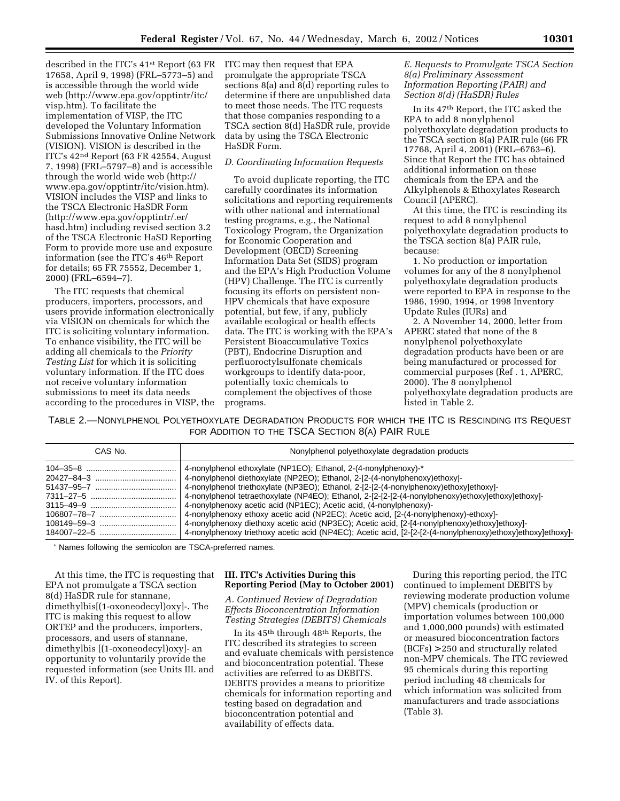described in the ITC's 41st Report (63 FR 17658, April 9, 1998) (FRL–5773–5) and is accessible through the world wide web (http://www.epa.gov/opptintr/itc/ visp.htm). To facilitate the implementation of VISP, the ITC developed the Voluntary Information Submissions Innovative Online Network (VISION). VISION is described in the ITC's 42nd Report (63 FR 42554, August 7, 1998) (FRL–5797–8) and is accessible through the world wide web (http:// www.epa.gov/opptintr/itc/vision.htm). VISION includes the VISP and links to the TSCA Electronic HaSDR Form (http://www.epa.gov/opptintr/.er/ hasd.htm) including revised section 3.2 of the TSCA Electronic HaSD Reporting Form to provide more use and exposure information (see the ITC's 46th Report for details; 65 FR 75552, December 1, 2000) (FRL–6594–7).

The ITC requests that chemical producers, importers, processors, and users provide information electronically via VISION on chemicals for which the ITC is soliciting voluntary information. To enhance visibility, the ITC will be adding all chemicals to the *Priority Testing List* for which it is soliciting voluntary information. If the ITC does not receive voluntary information submissions to meet its data needs according to the procedures in VISP, the ITC may then request that EPA promulgate the appropriate TSCA sections 8(a) and 8(d) reporting rules to determine if there are unpublished data to meet those needs. The ITC requests that those companies responding to a TSCA section 8(d) HaSDR rule, provide data by using the TSCA Electronic HaSDR Form.

# *D. Coordinating Information Requests*

To avoid duplicate reporting, the ITC carefully coordinates its information solicitations and reporting requirements with other national and international testing programs, e.g., the National Toxicology Program, the Organization for Economic Cooperation and Development (OECD) Screening Information Data Set (SIDS) program and the EPA's High Production Volume (HPV) Challenge. The ITC is currently focusing its efforts on persistent non-HPV chemicals that have exposure potential, but few, if any, publicly available ecological or health effects data. The ITC is working with the EPA's Persistent Bioaccumulative Toxics (PBT), Endocrine Disruption and perfluoroctylsulfonate chemicals workgroups to identify data-poor, potentially toxic chemicals to complement the objectives of those programs.

# *E. Requests to Promulgate TSCA Section 8(a) Preliminary Assessment Information Reporting (PAIR) and Section 8(d) (HaSDR) Rules*

In its 47th Report, the ITC asked the EPA to add 8 nonylphenol polyethoxylate degradation products to the TSCA section 8(a) PAIR rule (66 FR 17768, April 4, 2001) (FRL–6763–6). Since that Report the ITC has obtained additional information on these chemicals from the EPA and the Alkylphenols & Ethoxylates Research Council (APERC).

At this time, the ITC is rescinding its request to add 8 nonylphenol polyethoxylate degradation products to the TSCA section 8(a) PAIR rule, because:

1. No production or importation volumes for any of the 8 nonylphenol polyethoxylate degradation products were reported to EPA in response to the 1986, 1990, 1994, or 1998 Inventory Update Rules (IURs) and

2. A November 14, 2000, letter from APERC stated that none of the 8 nonylphenol polyethoxylate degradation products have been or are being manufactured or processed for commercial purposes (Ref . 1, APERC, 2000). The 8 nonylphenol polyethoxylate degradation products are listed in Table 2.

TABLE 2.—NONYLPHENOL POLYETHOXYLATE DEGRADATION PRODUCTS FOR WHICH THE ITC IS RESCINDING ITS REQUEST FOR ADDITION TO THE TSCA SECTION 8(A) PAIR RULE

| CAS No. | Nonylphenol polyethoxylate degradation products                                                            |
|---------|------------------------------------------------------------------------------------------------------------|
|         | 4-nonylphenol ethoxylate (NP1EO); Ethanol, 2-(4-nonylphenoxy)-*                                            |
|         | 4-nonylphenol diethoxylate (NP2EO); Ethanol, 2-[2-(4-nonylphenoxy)ethoxy]-                                 |
|         | 4-nonylphenol triethoxylate (NP3EO); Ethanol, 2-[2-[2-(4-nonylphenoxy)ethoxylethoxyl-                      |
|         | 4-nonylphenol tetraethoxylate (NP4EO); Ethanol, 2-[2-[2-[2-(4-nonylphenoxy)ethoxy]ethoxy]ethoxy]-          |
|         | 4-nonylphenoxy acetic acid (NP1EC); Acetic acid, (4-nonylphenoxy)-                                         |
|         | 4-nonylphenoxy ethoxy acetic acid (NP2EC); Acetic acid, [2-(4-nonylphenoxy)-ethoxy]-                       |
|         | 4-nonylphenoxy diethoxy acetic acid (NP3EC); Acetic acid, [2-[4-nonylphenoxy)ethoxy]ethoxy]-               |
|         | 4-nonylphenoxy triethoxy acetic acid (NP4EC); Acetic acid, [2-[2-[2-(4-nonylphenoxy)ethoxy]ethoxy]ethoxy]- |

\* Names following the semicolon are TSCA-preferred names.

At this time, the ITC is requesting that EPA not promulgate a TSCA section 8(d) HaSDR rule for stannane, dimethylbis[(1-oxoneodecyl)oxy]-. The ITC is making this request to allow ORTEP and the producers, importers, processors, and users of stannane, dimethylbis [(1-oxoneodecyl)oxy]- an opportunity to voluntarily provide the requested information (see Units III. and IV. of this Report).

# **III. ITC's Activities During this Reporting Period (May to October 2001)**

*A. Continued Review of Degradation Effects Bioconcentration Information Testing Strategies (DEBITS) Chemicals*

In its 45th through 48th Reports, the ITC described its strategies to screen and evaluate chemicals with persistence and bioconcentration potential. These activities are referred to as DEBITS. DEBITS provides a means to prioritize chemicals for information reporting and testing based on degradation and bioconcentration potential and availability of effects data.

During this reporting period, the ITC continued to implement DEBITS by reviewing moderate production volume (MPV) chemicals (production or importation volumes between 100,000 and 1,000,000 pounds) with estimated or measured bioconcentration factors (BCFs) > 250 and structurally related non-MPV chemicals. The ITC reviewed 95 chemicals during this reporting period including 48 chemicals for which information was solicited from manufacturers and trade associations (Table 3).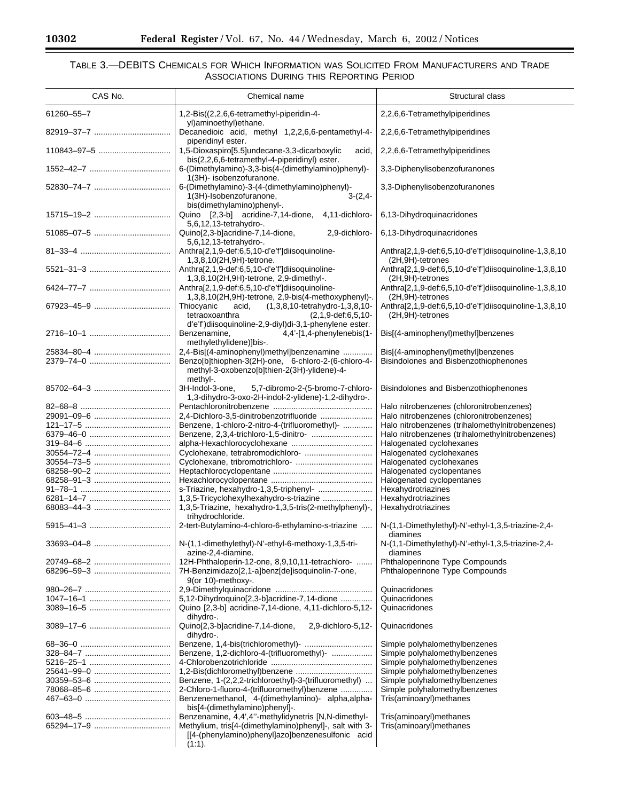$\equiv$ 

▀

# TABLE 3.—DEBITS CHEMICALS FOR WHICH INFORMATION WAS SOLICITED FROM MANUFACTURERS AND TRADE ASSOCIATIONS DURING THIS REPORTING PERIOD

| CAS No.     | Chemical name                                                                                                        | Structural class                                                           |
|-------------|----------------------------------------------------------------------------------------------------------------------|----------------------------------------------------------------------------|
| 61260-55-7  | 1,2-Bis((2,2,6,6-tetramethyl-piperidin-4-                                                                            | 2,2,6,6-Tetramethylpiperidines                                             |
|             | yl)aminoethyl)ethane.<br>Decanedioic acid, methyl 1,2,2,6,6-pentamethyl-4-                                           | 2,2,6,6-Tetramethylpiperidines                                             |
| 110843-97-5 | piperidinyl ester.<br>1,5-Dioxaspiro[5.5]undecane-3,3-dicarboxylic<br>acid,                                          | 2,2,6,6-Tetramethylpiperidines                                             |
|             | bis(2,2,6,6-tetramethyl-4-piperidinyl) ester.<br>6-(Dimethylamino)-3,3-bis(4-(dimethylamino)phenyl)-                 | 3,3-Diphenylisobenzofuranones                                              |
|             | 1(3H)- isobenzofuranone.                                                                                             |                                                                            |
|             | 6-(Dimethylamino)-3-(4-(dimethylamino)phenyl)-<br>1(3H)-Isobenzofuranone,<br>$3-(2,4-$<br>bis(dimethylamino)phenyl-. | 3,3-Diphenylisobenzofuranones                                              |
| 15715-19-2  | Quino [2,3-b] acridine-7,14-dione, 4,11-dichloro-<br>5,6,12,13-tetrahydro-.                                          | 6,13-Dihydroquinacridones                                                  |
| 51085-07-5  | Quino[2,3-b]acridine-7,14-dione,<br>2,9-dichloro-<br>5,6,12,13-tetrahydro-.                                          | 6,13-Dihydroquinacridones                                                  |
|             | Anthra[2,1,9-def:6,5,10-d'e'f']diisoquinoline-                                                                       | Anthra[2,1,9-def:6,5,10-d'e'f']diisoquinoline-1,3,8,10                     |
|             | 1,3,8,10(2H,9H)-tetrone.<br>Anthra[2,1,9-def:6,5,10-d'e'f']diisoquinoline-                                           | (2H,9H)-tetrones<br>Anthra[2,1,9-def:6,5,10-d'e'f']diisoquinoline-1,3,8,10 |
|             | 1,3,8,10(2H,9H)-tetrone, 2,9-dimethyl-.<br>Anthra[2,1,9-def:6,5,10-d'e'f']diisoquinoline-                            | (2H,9H)-tetrones<br>Anthra[2,1,9-def:6,5,10-d'e'f']diisoquinoline-1,3,8,10 |
|             | 1,3,8,10(2H,9H)-tetrone, 2,9-bis(4-methoxyphenyl)-.                                                                  | (2H,9H)-tetrones                                                           |
|             | Thiocyanic<br>(1,3,8,10-tetrahydro-1,3,8,10-<br>acid,                                                                | Anthra[2,1,9-def:6,5,10-d'e'f']diisoquinoline-1,3,8,10                     |
|             | $(2,1,9$ -def:6,5,10-<br>tetraoxoanthra<br>d'e'f')diisoquinoline-2,9-diyl)di-3,1-phenylene ester.                    | (2H,9H)-tetrones                                                           |
|             | 4,4'-[1,4-phenylenebis(1-<br>Benzenamine,                                                                            | Bis[(4-aminophenyl)methyl]benzenes                                         |
|             | methylethylidene)]bis-.                                                                                              |                                                                            |
|             | 2,4-Bis[(4-aminophenyl)methyl]benzenamine                                                                            | Bis[(4-aminophenyl)methyl]benzenes                                         |
|             | Benzo[b]thiophen-3(2H)-one, 6-chloro-2-(6-chloro-4-                                                                  | Bisindolones and Bisbenzothiophenones                                      |
|             | methyl-3-oxobenzo[b]thien-2(3H)-ylidene)-4-<br>methyl-.                                                              |                                                                            |
|             | 3H-Indol-3-one,<br>5,7-dibromo-2-(5-bromo-7-chloro-                                                                  | Bisindolones and Bisbenzothiophenones                                      |
|             | 1,3-dihydro-3-oxo-2H-indol-2-ylidene)-1,2-dihydro-.                                                                  |                                                                            |
|             |                                                                                                                      | Halo nitrobenzenes (chloronitrobenzenes)                                   |
| 29091-09-6  |                                                                                                                      | Halo nitrobenzenes (chloronitrobenzenes)                                   |
|             | Benzene, 1-chloro-2-nitro-4-(trifluoromethyl)-                                                                       | Halo nitrobenzenes (trihalomethylnitrobenzenes)                            |
|             |                                                                                                                      | Halo nitrobenzenes (trihalomethylnitrobenzenes)                            |
|             |                                                                                                                      | Halogenated cyclohexanes                                                   |
| 30554–72–4  |                                                                                                                      | Halogenated cyclohexanes                                                   |
|             |                                                                                                                      | Halogenated cyclohexanes                                                   |
| 68258-91-3  |                                                                                                                      | Halogenated cyclopentanes<br>Halogenated cyclopentanes                     |
|             | s-Triazine, hexahydro-1,3,5-triphenyl-                                                                               | Hexahydrotriazines                                                         |
|             | 1,3,5-Tricyclohexylhexahydro-s-triazine                                                                              | Hexahydrotriazines                                                         |
|             | 1,3,5-Triazine, hexahydro-1,3,5-tris(2-methylphenyl)-,                                                               | Hexahydrotriazines                                                         |
|             | trihydrochloride.                                                                                                    |                                                                            |
|             | 2-tert-Butylamino-4-chloro-6-ethylamino-s-triazine                                                                   | N-(1,1-Dimethylethyl)-N'-ethyl-1,3,5-triazine-2,4-<br>diamines             |
|             | N-(1,1-dimethylethyl)-N'-ethyl-6-methoxy-1,3,5-tri-<br>azine-2,4-diamine.                                            | N-(1,1-Dimethylethyl)-N'-ethyl-1,3,5-triazine-2,4-<br>diamines             |
|             | 12H-Phthaloperin-12-one, 8,9,10,11-tetrachloro-                                                                      | Phthaloperinone Type Compounds                                             |
|             | 7H-Benzimidazo[2,1-a]benz[de]isoquinolin-7-one,<br>9(or 10)-methoxy-.                                                | Phthaloperinone Type Compounds                                             |
|             |                                                                                                                      | Quinacridones                                                              |
|             | 5,12-Dihydroquino[2,3-b]acridine-7,14-dione                                                                          | Quinacridones                                                              |
|             | Quino [2,3-b] acridine-7,14-dione, 4,11-dichloro-5,12-                                                               | Quinacridones                                                              |
|             | dihydro-.                                                                                                            |                                                                            |
|             | Quino[2,3-b]acridine-7,14-dione,<br>2,9-dichloro-5,12-<br>dihydro-.                                                  | Quinacridones                                                              |
|             | Benzene, 1,4-bis(trichloromethyl) -                                                                                  | Simple polyhalomethylbenzenes                                              |
|             | Benzene, 1,2-dichloro-4-(trifluoromethyl)-                                                                           | Simple polyhalomethylbenzenes                                              |
|             |                                                                                                                      | Simple polyhalomethylbenzenes<br>Simple polyhalomethylbenzenes             |
|             | Benzene, 1-(2,2,2-trichloroethyl)-3-(trifluoromethyl)                                                                | Simple polyhalomethylbenzenes                                              |
|             | 2-Chloro-1-fluoro-4-(trifluoromethyl)benzene                                                                         | Simple polyhalomethylbenzenes                                              |
|             | Benzenemethanol, 4-(dimethylamino)- alpha,alpha-                                                                     | Tris(aminoaryl)methanes                                                    |
|             | bis[4-(dimethylamino)phenyl]-.                                                                                       |                                                                            |
|             | Benzenamine, 4,4',4"-methylidynetris [N,N-dimethyl-                                                                  | Tris(aminoaryl)methanes                                                    |
|             | Methylium, tris[4-(dimethylamino)phenyl]-, salt with 3-                                                              | Tris(aminoaryl)methanes                                                    |
|             | [[4-(phenylamino)phenyl]azo]benzenesulfonic acid<br>$(1:1)$ .                                                        |                                                                            |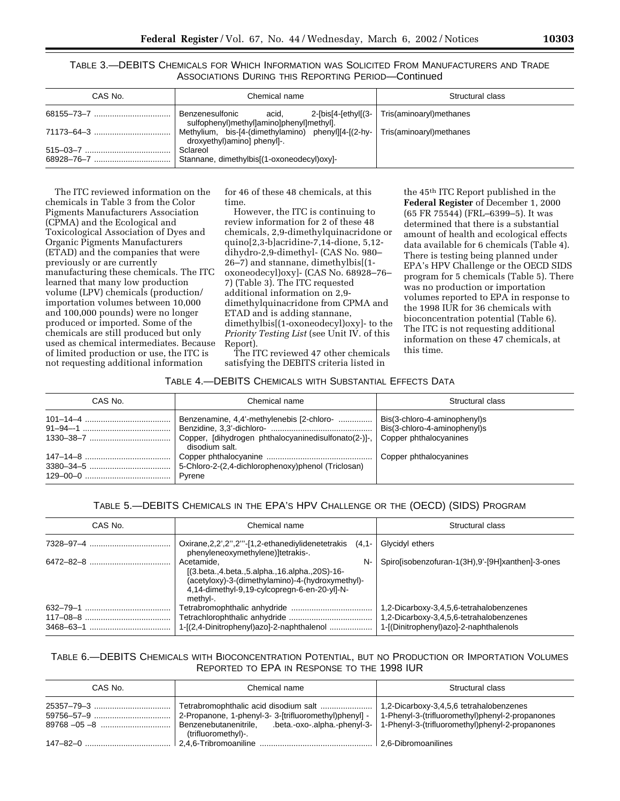TABLE 3.—DEBITS CHEMICALS FOR WHICH INFORMATION WAS SOLICITED FROM MANUFACTURERS AND TRADE ASSOCIATIONS DURING THIS REPORTING PERIOD—Continued

| CAS No. | Chemical name                                                                                      | Structural class        |
|---------|----------------------------------------------------------------------------------------------------|-------------------------|
|         | Benzenesulfonic<br>$2$ -[bis[4-[ethyl[(3- $ $<br>acid.<br>sulfophenyl)methyl]amino]phenyl]methyl]. | Tris(aminoaryl)methanes |
|         | Methylium, bis-[4-(dimethylamino) phenyl][4-[(2-hy-  <br>droxyethyl)amino] phenyl]-.               | Tris(aminoaryl)methanes |
|         | Sclareol<br>Stannane, dimethylbis[(1-oxoneodecyl)oxy]-                                             |                         |

The ITC reviewed information on the chemicals in Table 3 from the Color Pigments Manufacturers Association (CPMA) and the Ecological and Toxicological Association of Dyes and Organic Pigments Manufacturers (ETAD) and the companies that were previously or are currently manufacturing these chemicals. The ITC learned that many low production volume (LPV) chemicals (production/ importation volumes between 10,000 and 100,000 pounds) were no longer produced or imported. Some of the chemicals are still produced but only used as chemical intermediates. Because of limited production or use, the ITC is not requesting additional information

for 46 of these 48 chemicals, at this time.

However, the ITC is continuing to review information for 2 of these 48 chemicals, 2,9-dimethylquinacridone or quino[2,3-b]acridine-7,14-dione, 5,12 dihydro-2,9-dimethyl- (CAS No. 980– 26–7) and stannane, dimethylbis[(1 oxoneodecyl)oxy]- (CAS No. 68928–76– 7) (Table 3). The ITC requested additional information on 2,9 dimethylquinacridone from CPMA and ETAD and is adding stannane, dimethylbis[(1-oxoneodecyl)oxy]- to the *Priority Testing List* (see Unit IV. of this Report).

The ITC reviewed 47 other chemicals satisfying the DEBITS criteria listed in

the 45th ITC Report published in the **Federal Register** of December 1, 2000 (65 FR 75544) (FRL–6399–5). It was determined that there is a substantial amount of health and ecological effects data available for 6 chemicals (Table 4). There is testing being planned under EPA's HPV Challenge or the OECD SIDS program for 5 chemicals (Table 5). There was no production or importation volumes reported to EPA in response to the 1998 IUR for 36 chemicals with bioconcentration potential (Table 6). The ITC is not requesting additional information on these 47 chemicals, at this time.

#### TABLE 4.—DEBITS CHEMICALS WITH SUBSTANTIAL EFFECTS DATA

| CAS No. | Chemical name                                                                                                                              | Structural class                                             |
|---------|--------------------------------------------------------------------------------------------------------------------------------------------|--------------------------------------------------------------|
|         | Benzenamine, 4,4'-methylenebis [2-chloro-<br>Copper, [dihydrogen phthalocyaninedisulfonato(2-)]-, Copper phthalocyanines<br>disodium salt. | Bis(3-chloro-4-aminophenyl)s<br>Bis(3-chloro-4-aminophenyl)s |
|         | 5-Chloro-2-(2,4-dichlorophenoxy)phenol (Triclosan)<br>Pvrene                                                                               | Copper phthalocyanines                                       |

# TABLE 5.—DEBITS CHEMICALS IN THE EPA'S HPV CHALLENGE OR THE (OECD) (SIDS) PROGRAM

| CAS No. | Chemical name                                                                                                                                                                           | Structural class                                                                                                             |
|---------|-----------------------------------------------------------------------------------------------------------------------------------------------------------------------------------------|------------------------------------------------------------------------------------------------------------------------------|
|         | Oxirane, 2, 2", 2"' - [1, 2-ethanediylidenetetrakis<br>$(4,1 -$<br>phenyleneoxymethylene)]tetrakis-.                                                                                    | Glycidyl ethers                                                                                                              |
|         | N-<br>Acetamide.<br>$[(3.beta., 4.beta., 5.alpha., 16.alpha., 20S)-16]$<br>(acetyloxy)-3-(dimethylamino)-4-(hydroxymethyl)-<br>4,14-dimethyl-9,19-cylcopregn-6-en-20-yl]-N-<br>methyl-. | Spirolisobenzofuran-1(3H), 9'-[9H] xanthen]-3-ones                                                                           |
|         | 1-[(2,4-Dinitrophenyl)azo]-2-naphthalenol                                                                                                                                               | 1,2-Dicarboxy-3,4,5,6-tetrahalobenzenes<br>1,2-Dicarboxy-3,4,5,6-tetrahalobenzenes<br>1-[(Dinitrophenyl)azo]-2-naphthalenols |

# TABLE 6.—DEBITS CHEMICALS WITH BIOCONCENTRATION POTENTIAL, BUT NO PRODUCTION OR IMPORTATION VOLUMES REPORTED TO EPA IN RESPONSE TO THE 1998 IUR

| CAS No. | Chemical name                                                                                                                               | Structural class                                                                                                                              |
|---------|---------------------------------------------------------------------------------------------------------------------------------------------|-----------------------------------------------------------------------------------------------------------------------------------------------|
|         | 2-Propanone, 1-phenyl-3- 3-[trifluoromethyl)phenyl] -<br>Benzenebutanenitrile, $\qquad$ .beta.-oxo-.alpha.-phenyl-3-<br>(trifluoromethyl)-. | 1,2-Dicarboxy-3,4,5,6 tetrahalobenzenes<br>1-Phenyl-3-(trifluoromethyl)phenyl-2-propanones<br>1-Phenyl-3-(trifluoromethyl)phenyl-2-propanones |
|         |                                                                                                                                             |                                                                                                                                               |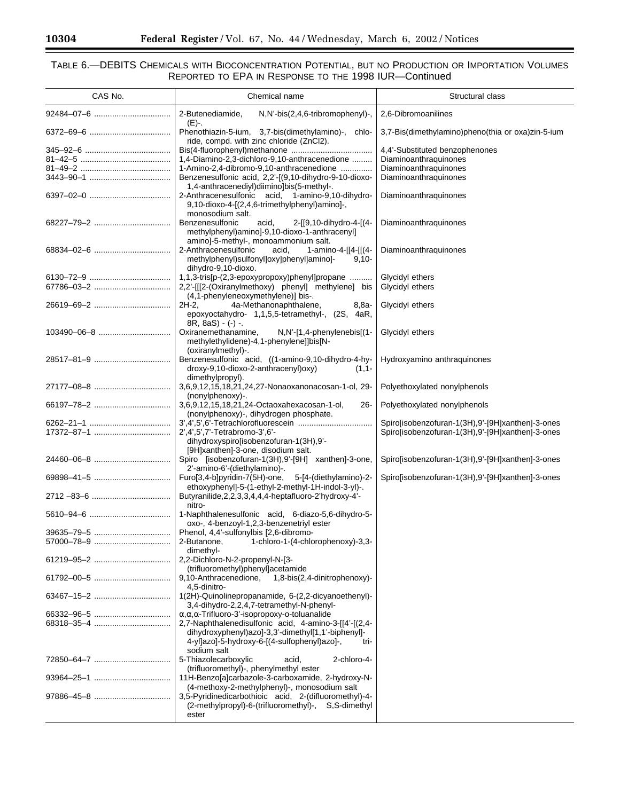$\equiv$ 

# TABLE 6.—DEBITS CHEMICALS WITH BIOCONCENTRATION POTENTIAL, BUT NO PRODUCTION OR IMPORTATION VOLUMES REPORTED TO EPA IN RESPONSE TO THE 1998 IUR—Continued

| CAS No.     | Chemical name                                                                                                                                                                      | Structural class                                  |
|-------------|------------------------------------------------------------------------------------------------------------------------------------------------------------------------------------|---------------------------------------------------|
|             | 2-Butenediamide,<br>$N, N'$ -bis $(2, 4, 6$ -tribromophenyl)-,                                                                                                                     | 2,6-Dibromoanilines                               |
|             | (E)-.<br>Phenothiazin-5-ium, 3,7-bis(dimethylamino)-, chlo-<br>ride, compd. with zinc chloride (ZnCl2).                                                                            | 3,7-Bis(dimethylamino)pheno(thia or oxa)zin-5-ium |
|             |                                                                                                                                                                                    | 4,4'-Substituted benzophenones                    |
|             | 1,4-Diamino-2,3-dichloro-9,10-anthracenedione                                                                                                                                      | Diaminoanthraquinones                             |
|             | 1-Amino-2,4-dibromo-9,10-anthracenedione                                                                                                                                           | Diaminoanthraquinones                             |
|             | Benzenesulfonic acid, 2,2'-[(9,10-dihydro-9-10-dioxo-<br>1,4-anthracenediyl)diimino]bis(5-methyl-.                                                                                 | Diaminoanthraquinones                             |
|             | 2-Anthracenesulfonic acid, 1-amino-9,10-dihydro-<br>9,10-dioxo-4-[(2,4,6-trimethylphenyl)amino]-,<br>monosodium salt.                                                              | Diaminoanthraquinones                             |
|             | Benzenesulfonic<br>acid,<br>2-[[9,10-dihydro-4-[(4-<br>methylphenyl)amino]-9,10-dioxo-1-anthracenyl]<br>amino]-5-methyl-, monoammonium salt.                                       | Diaminoanthraquinones                             |
|             | 2-Anthracenesulfonic<br>1-amino-4-[[4-[[(4-<br>acid,<br>methylphenyl)sulfonyl]oxy]phenyl]amino]-<br>$9,10-$<br>dihydro-9,10-dioxo.                                                 | Diaminoanthraquinones                             |
|             | 1,1,3-tris[p-(2,3-epoxypropoxy)phenyl]propane                                                                                                                                      | Glycidyl ethers                                   |
|             | 2,2'-[[[2-(Oxiranylmethoxy) phenyl] methylene] bis<br>(4,1-phenyleneoxymethylene)] bis-.                                                                                           | Glycidyl ethers                                   |
|             | $2H-2$ ,<br>4a-Methanonaphthalene,<br>8,8a-<br>epoxyoctahydro- 1,1,5,5-tetramethyl-, (2S, 4aR,<br>$8R, 8aS) - (-) -$                                                               | Glycidyl ethers                                   |
| 103490-06-8 | Oxiranemethanamine,<br>$N, N'$ -[1,4-phenylenebis[(1-<br>methylethylidene)-4,1-phenylene]]bis[N-<br>(oxiranylmethyl)-.                                                             | Glycidyl ethers                                   |
|             | Benzenesulfonic acid, ((1-amino-9,10-dihydro-4-hy-<br>droxy-9,10-dioxo-2-anthracenyl)oxy)<br>$(1,1 -$<br>dimethylpropyl).                                                          | Hydroxyamino anthraquinones                       |
|             | 3,6,9,12,15,18,21,24,27-Nonaoxanonacosan-1-ol, 29-<br>(nonylphenoxy)-.                                                                                                             | Polyethoxylated nonylphenols                      |
|             | 3,6,9,12,15,18,21,24-Octaoxahexacosan-1-ol,<br>$26 -$<br>(nonylphenoxy)-, dihydrogen phosphate.                                                                                    | Polyethoxylated nonylphenols                      |
|             |                                                                                                                                                                                    | Spiro[isobenzofuran-1(3H),9'-[9H]xanthen]-3-ones  |
|             | 2',4',5',7'-Tetrabromo-3',6'-<br>dihydroxyspiro[isobenzofuran-1(3H),9'-                                                                                                            | Spiro[isobenzofuran-1(3H),9'-[9H]xanthen]-3-ones  |
|             | [9H]xanthen]-3-one, disodium salt.                                                                                                                                                 |                                                   |
|             | Spiro [isobenzofuran-1(3H),9'-[9H] xanthen]-3-one,<br>2'-amino-6'-(diethylamino)-.                                                                                                 | Spiro[isobenzofuran-1(3H),9'-[9H]xanthen]-3-ones  |
|             | Furo[3,4-b]pyridin-7(5H)-one,<br>5-[4-(diethylamino)-2-<br>ethoxyphenyl]-5-(1-ethyl-2-methyl-1H-indol-3-yl)-.                                                                      | Spiro[isobenzofuran-1(3H),9'-[9H]xanthen]-3-ones  |
|             | Butyranilide, 2, 2, 3, 3, 4, 4, 4-heptafluoro-2'hydroxy-4'-<br>nitro-                                                                                                              |                                                   |
|             | 1-Naphthalenesulfonic acid, 6-diazo-5,6-dihydro-5-<br>oxo-, 4-benzoyl-1,2,3-benzenetriyl ester                                                                                     |                                                   |
|             | Phenol, 4,4'-sulfonylbis [2,6-dibromo-                                                                                                                                             |                                                   |
|             | 2-Butanone,<br>1-chloro-1-(4-chlorophenoxy)-3,3-<br>dimethyl-                                                                                                                      |                                                   |
|             | 2,2-Dichloro-N-2-propenyl-N-[3-<br>(trifluoromethyl)phenyl]acetamide                                                                                                               |                                                   |
|             | 1,8-bis(2,4-dinitrophenoxy)-<br>9,10-Anthracenedione,<br>4.5-dinitro-                                                                                                              |                                                   |
|             | 1(2H)-Quinolinepropanamide, 6-(2,2-dicyanoethenyl)-<br>3,4-dihydro-2,2,4,7-tetramethyl-N-phenyl-                                                                                   |                                                   |
|             | $\alpha, \alpha, \alpha$ -Trifluoro-3'-isopropoxy-o-toluanalide                                                                                                                    |                                                   |
|             | 2,7-Naphthalenedisulfonic acid, 4-amino-3-[[4'-[(2,4-<br>dihydroxyphenyl)azo]-3,3'-dimethyl[1,1'-biphenyl]-<br>4-yi]azo]-5-hydroxy-6-[(4-sulfophenyl)azo]-,<br>tri-<br>sodium salt |                                                   |
| 72850-64-7  | 5-Thiazolecarboxylic<br>2-chloro-4-<br>acid,<br>(trifluoromethyl)-, phenylmethyl ester                                                                                             |                                                   |
|             | 11H-Benzo[a]carbazole-3-carboxamide, 2-hydroxy-N-<br>(4-methoxy-2-methylphenyl)-, monosodium salt                                                                                  |                                                   |
|             | 3,5-Pyridinedicarbothioic acid, 2-(difluoromethyl)-4-<br>(2-methylpropyl)-6-(trifluoromethyl)-, S,S-dimethyl<br>ester                                                              |                                                   |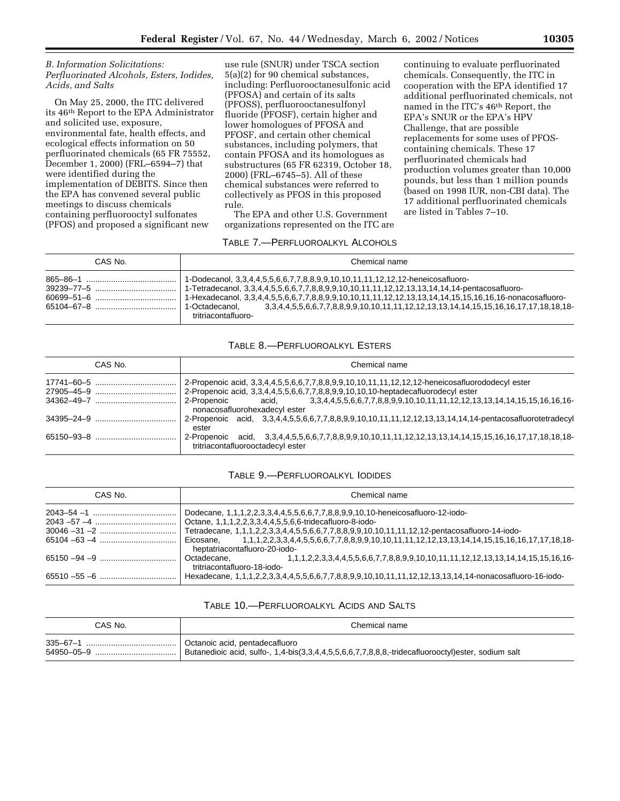# *B. Information Solicitations: Perfluorinated Alcohols, Esters, Iodides, Acids, and Salts*

On May 25, 2000, the ITC delivered its 46th Report to the EPA Administrator and solicited use, exposure, environmental fate, health effects, and ecological effects information on 50 perfluorinated chemicals (65 FR 75552, December 1, 2000) (FRL–6594–7) that were identified during the implementation of DEBITS. Since then the EPA has convened several public meetings to discuss chemicals containing perfluorooctyl sulfonates (PFOS) and proposed a significant new

use rule (SNUR) under TSCA section 5(a)(2) for 90 chemical substances, including: Perfluorooctanesulfonic acid (PFOSA) and certain of its salts (PFOSS), perfluorooctanesulfonyl fluoride (PFOSF), certain higher and lower homologues of PFOSA and PFOSF, and certain other chemical substances, including polymers, that contain PFOSA and its homologues as substructures (65 FR 62319, October 18, 2000) (FRL–6745–5). All of these chemical substances were referred to collectively as PFOS in this proposed rule.

The EPA and other U.S. Government organizations represented on the ITC are

continuing to evaluate perfluorinated chemicals. Consequently, the ITC in cooperation with the EPA identified 17 additional perfluorinated chemicals, not named in the ITC's 46th Report, the EPA's SNUR or the EPA's HPV Challenge, that are possible replacements for some uses of PFOScontaining chemicals. These 17 perfluorinated chemicals had production volumes greater than 10,000 pounds, but less than 1 million pounds (based on 1998 IUR, non-CBI data). The 17 additional perfluorinated chemicals are listed in Tables 7–10.

# TABLE 7.—PERFLUOROALKYL ALCOHOLS

| CAS No.                      | Chemical name                                                                                                                                                                                                                                                                                                               |
|------------------------------|-----------------------------------------------------------------------------------------------------------------------------------------------------------------------------------------------------------------------------------------------------------------------------------------------------------------------------|
| 865-86-1<br>$60699 - 51 - 6$ | 1-Dodecanol, 3,3,4,4,5,5,6,6,7,7,8,8,9,9,10,10,11,11,12,12,12-heneicosafluoro-<br>1-Hexadecanol, 3,3,4,4,5,5,6,6,7,7,8,8,9,9,10,10,11,11,12,12,13,13,14,14,15,15,16,16,16-nonacosafluoro-<br>3,3,4,4,5,5,6,6,7,7,8,8,9,9,10,10,11,11,12,12,13,13,14,14,15,15,16,16,17,17,18,18,18-<br>1-Octadecanol.<br>tritriacontafluoro- |

# TABLE 8.—PERFLUOROALKYL ESTERS

| CAS No. | Chemical name                                                                                                                                |
|---------|----------------------------------------------------------------------------------------------------------------------------------------------|
|         | 2-Propenoic acid, 3,3,4,4,5,5,6,6,7,7,8,8,9,9,10,10,11,11,12,12,12-heneicosafluorododecyl ester                                              |
|         | 2-Propenoic acid, 3,3,4,4,5,5,6,6,7,7,8,8,9,9,10,10,10-heptadecafluorodecyl ester                                                            |
|         | nonacosafluorohexadecyl ester                                                                                                                |
|         | 2-Propenoic acid, 3,3,4,4,5,5,6,6,7,7,8,8,9,9,10,10,11,11,12,12,13,13,14,14,14-pentacosafluorotetradecyl<br>ester                            |
|         | 2-Propenoic acid, 3,3,4,4,5,5,6,6,7,7,8,8,9,9,10,10,11,11,12,12,13,13,14,14,15,15,16,16,17,17,18,18,18-<br>tritriacontafluorooctadecyl ester |

# TABLE 9.—PERFLUOROALKYL IODIDES

| CAS No. | Chemical name                                                                                                                             |
|---------|-------------------------------------------------------------------------------------------------------------------------------------------|
|         | Dodecane, 1,1,1,2,2,3,3,4,4,5,5,6,6,7,7,8,8,9,9,10,10-heneicosafluoro-12-iodo-                                                            |
|         | Octane, 1,1,1,2,2,3,3,4,4,5,5,6,6-tridecafluoro-8-iodo-                                                                                   |
|         | Tetradecane, 1,1,1,2,2,3,3,4,4,5,5,6,6,7,7,8,8,9,9,10,10,11,11,12,12-pentacosafluoro-14-iodo-                                             |
|         | Eicosane. 1.1.1.2.2.3.3.4.4.5.5.6.6.7.7.8.8.9.9.10.10.11.11.12.12.13.13.14.14.15.15.16.16.16.17.17.18.18<br>heptatriacontafluoro-20-iodo- |
|         | Octadecane, 1,1,1,2,2,3,3,4,4,5,5,6,6,7,7,8,8,9,9,10,10,11,11,12,12,13,13,14,14,15,15,16,16-<br>tritriacontafluoro-18-iodo-               |
|         | Hexadecane, 1,1,1,2,2,3,3,4,4,5,5,6,6,7,7,8,8,9,9,10,10,11,11,12,12,13,13,14,14-nonacosafluoro-16-iodo-                                   |

# TABLE 10.—PERFLUOROALKYL ACIDS AND SALTS

| CAS No.        | Chemical name                                                                                      |
|----------------|----------------------------------------------------------------------------------------------------|
| $335 - 67 - 1$ | Octanoic acid, pentadecafluoro                                                                     |
|                | Butanedioic acid, sulfo-, 1,4-bis(3,3,4,4,5,5,6,6,7,7,8,8,8,-tridecafluorooctyl)ester, sodium salt |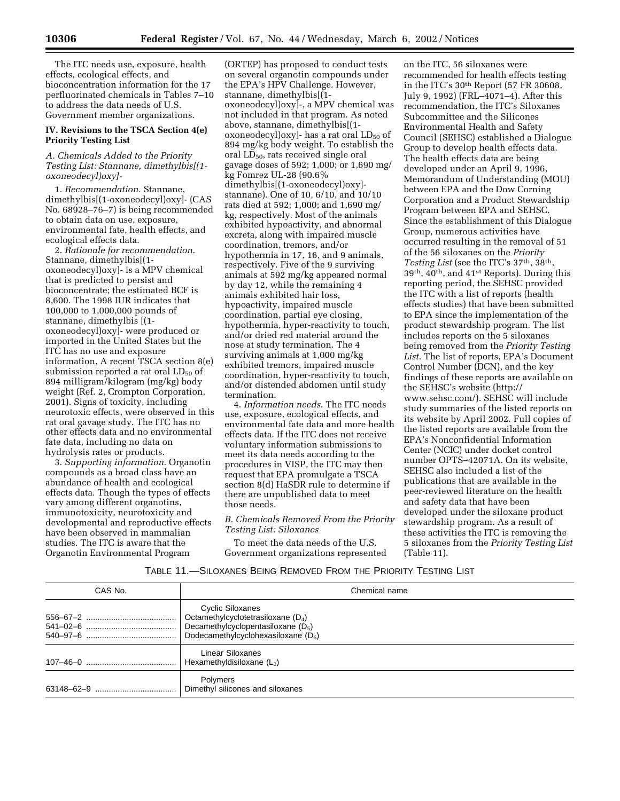The ITC needs use, exposure, health effects, ecological effects, and bioconcentration information for the 17 perfluorinated chemicals in Tables 7–10 to address the data needs of U.S. Government member organizations.

# **IV. Revisions to the TSCA Section 4(e) Priority Testing List**

# *A. Chemicals Added to the Priority Testing List: Stannane, dimethylbis[(1 oxoneodecyl)oxy]-*

1. *Recommendation*. Stannane, dimethylbis[(1-oxoneodecyl)oxy]- (CAS No. 68928–76–7) is being recommended to obtain data on use, exposure, environmental fate, health effects, and ecological effects data.

2. *Rationale for recommendation*. Stannane, dimethylbis[(1 oxoneodecyl)oxy]- is a MPV chemical that is predicted to persist and bioconcentrate; the estimated BCF is 8,600. The 1998 IUR indicates that 100,000 to 1,000,000 pounds of stannane, dimethylbis [(1 oxoneodecyl)oxy]- were produced or imported in the United States but the ITC has no use and exposure information. A recent TSCA section 8(e) submission reported a rat oral  $LD_{50}$  of 894 milligram/kilogram (mg/kg) body weight (Ref. 2, Crompton Corporation, 2001). Signs of toxicity, including neurotoxic effects, were observed in this rat oral gavage study. The ITC has no other effects data and no environmental fate data, including no data on hydrolysis rates or products.

3. *Supporting information*. Organotin compounds as a broad class have an abundance of health and ecological effects data. Though the types of effects vary among different organotins, immunotoxicity, neurotoxicity and developmental and reproductive effects have been observed in mammalian studies. The ITC is aware that the Organotin Environmental Program

(ORTEP) has proposed to conduct tests on several organotin compounds under the EPA's HPV Challenge. However, stannane, dimethylbis[(1 oxoneodecyl)oxy]-, a MPV chemical was not included in that program. As noted above, stannane, dimethylbis[(1 oxoneodecyl) $\alpha$ y]- has a rat oral  $LD_{50}$  of 894 mg/kg body weight. To establish the oral LD<sub>50</sub>, rats received single oral gavage doses of 592; 1,000; or 1,690 mg/ kg Fomrez UL-28 (90.6% dimethylbis[(1-oxoneodecyl)oxy] stannane). One of 10, 6/10, and 10/10 rats died at 592; 1,000; and 1,690 mg/ kg, respectively. Most of the animals exhibited hypoactivity, and abnormal excreta, along with impaired muscle coordination, tremors, and/or hypothermia in 17, 16, and 9 animals, respectively. Five of the 9 surviving animals at 592 mg/kg appeared normal by day 12, while the remaining 4 animals exhibited hair loss, hypoactivity, impaired muscle coordination, partial eye closing, hypothermia, hyper-reactivity to touch, and/or dried red material around the nose at study termination. The 4 surviving animals at 1,000 mg/kg exhibited tremors, impaired muscle coordination, hyper-reactivity to touch, and/or distended abdomen until study termination.

4. *Information needs*. The ITC needs use, exposure, ecological effects, and environmental fate data and more health effects data. If the ITC does not receive voluntary information submissions to meet its data needs according to the procedures in VISP, the ITC may then request that EPA promulgate a TSCA section 8(d) HaSDR rule to determine if there are unpublished data to meet those needs.

#### *B. Chemicals Removed From the Priority Testing List: Siloxanes*

To meet the data needs of the U.S. Government organizations represented

on the ITC, 56 siloxanes were recommended for health effects testing in the ITC's 30th Report (57 FR 30608, July 9, 1992) (FRL–4071–4). After this recommendation, the ITC's Siloxanes Subcommittee and the Silicones Environmental Health and Safety Council (SEHSC) established a Dialogue Group to develop health effects data. The health effects data are being developed under an April 9, 1996, Memorandum of Understanding (MOU) between EPA and the Dow Corning Corporation and a Product Stewardship Program between EPA and SEHSC. Since the establishment of this Dialogue Group, numerous activities have occurred resulting in the removal of 51 of the 56 siloxanes on the *Priority Testing List* (see the ITC's 37th, 38th, 39th, 40th, and 41st Reports). During this reporting period, the SEHSC provided the ITC with a list of reports (health effects studies) that have been submitted to EPA since the implementation of the product stewardship program. The list includes reports on the 5 siloxanes being removed from the *Priority Testing List*. The list of reports, EPA's Document Control Number (DCN), and the key findings of these reports are available on the SEHSC's website (http:// www.sehsc.com/). SEHSC will include study summaries of the listed reports on its website by April 2002. Full copies of the listed reports are available from the EPA's Nonconfidential Information Center (NCIC) under docket control number OPTS–42071A. On its website, SEHSC also included a list of the publications that are available in the peer-reviewed literature on the health and safety data that have been developed under the siloxane product stewardship program. As a result of these activities the ITC is removing the 5 siloxanes from the *Priority Testing List* (Table 11).

# TABLE 11.—SILOXANES BEING REMOVED FROM THE PRIORITY TESTING LIST

| CAS No. | Chemical name                                                                                                                             |
|---------|-------------------------------------------------------------------------------------------------------------------------------------------|
|         | Cyclic Siloxanes<br>Octamethylcyclotetrasiloxane $(D_4)$<br>Decamethylcyclopentasiloxane $(D_5)$<br>Dodecamethylcyclohexasiloxane $(D_6)$ |
|         | Linear Siloxanes<br>Hexamethyldisiloxane $(L_2)$                                                                                          |
|         | Polymers<br>Dimethyl silicones and siloxanes                                                                                              |